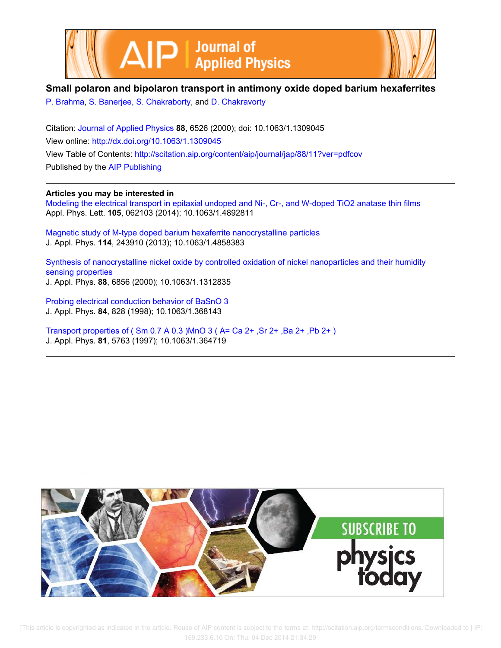



# **Small polaron and bipolaron transport in antimony oxide doped barium hexaferrites**

P. Brahma, S. Banerjee, S. Chakraborty, and D. Chakravorty

Citation: Journal of Applied Physics **88**, 6526 (2000); doi: 10.1063/1.1309045 View online: http://dx.doi.org/10.1063/1.1309045 View Table of Contents: http://scitation.aip.org/content/aip/journal/jap/88/11?ver=pdfcov Published by the AIP Publishing

**Articles you may be interested in**

Modeling the electrical transport in epitaxial undoped and Ni-, Cr-, and W-doped TiO2 anatase thin films Appl. Phys. Lett. **105**, 062103 (2014); 10.1063/1.4892811

Magnetic study of M-type doped barium hexaferrite nanocrystalline particles J. Appl. Phys. **114**, 243910 (2013); 10.1063/1.4858383

Synthesis of nanocrystalline nickel oxide by controlled oxidation of nickel nanoparticles and their humidity sensing properties J. Appl. Phys. **88**, 6856 (2000); 10.1063/1.1312835

Probing electrical conduction behavior of BaSnO 3 J. Appl. Phys. **84**, 828 (1998); 10.1063/1.368143

Transport properties of ( Sm 0.7 A 0.3 )MnO 3 ( A= Ca 2+ ,Sr 2+ ,Ba 2+ ,Pb 2+ ) J. Appl. Phys. **81**, 5763 (1997); 10.1063/1.364719

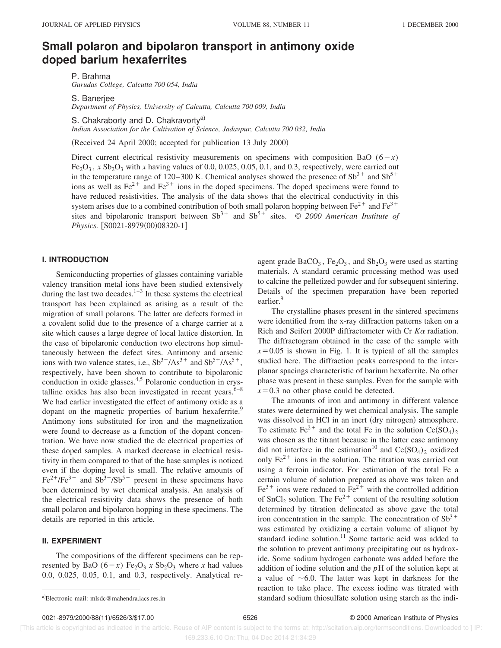# **Small polaron and bipolaron transport in antimony oxide doped barium hexaferrites**

P. Brahma

*Gurudas College, Calcutta 700 054, India*

S. Banerjee

*Department of Physics, University of Calcutta, Calcutta 700 009, India*

S. Chakraborty and D. Chakravorty<sup>a)</sup>

*Indian Association for the Cultivation of Science, Jadavpur, Calcutta 700 032, India*

(Received 24 April 2000; accepted for publication 13 July 2000)

Direct current electrical resistivity measurements on specimens with composition BaO  $(6-x)$  $Fe<sub>2</sub>O<sub>3</sub>$ , *x* Sb<sub>2</sub>O<sub>3</sub> with *x* having values of 0.0, 0.025, 0.05, 0.1, and 0.3, respectively, were carried out in the temperature range of 120–300 K. Chemical analyses showed the presence of  $Sb^{3+}$  and  $Sb^{5+}$ ions as well as  $Fe^{2+}$  and  $Fe^{3+}$  ions in the doped specimens. The doped specimens were found to have reduced resistivities. The analysis of the data shows that the electrical conductivity in this system arises due to a combined contribution of both small polaron hopping between  $Fe^{2+}$  and  $Fe^{3+}$ sites and bipolaronic transport between  $Sb^{3+}$  and  $Sb^{5+}$  sites.  $\odot$  2000 American Institute of *Physics.*  $[$0021-8979(00)08320-1]$ 

## **I. INTRODUCTION**

Semiconducting properties of glasses containing variable valency transition metal ions have been studied extensively during the last two decades. $1-3$  In these systems the electrical transport has been explained as arising as a result of the migration of small polarons. The latter are defects formed in a covalent solid due to the presence of a charge carrier at a site which causes a large degree of local lattice distortion. In the case of bipolaronic conduction two electrons hop simultaneously between the defect sites. Antimony and arsenic ions with two valence states, i.e.,  $Sb^{3+}/As^{3+}$  and  $Sb^{5+}/As^{5+}$ , respectively, have been shown to contribute to bipolaronic conduction in oxide glasses.<sup>4,5</sup> Polaronic conduction in crystalline oxides has also been investigated in recent years. $6-8$ We had earlier investigated the effect of antimony oxide as a dopant on the magnetic properties of barium hexaferrite.<sup>9</sup> Antimony ions substituted for iron and the magnetization were found to decrease as a function of the dopant concentration. We have now studied the dc electrical properties of these doped samples. A marked decrease in electrical resistivity in them compared to that of the base samples is noticed even if the doping level is small. The relative amounts of  $Fe^{2+}/Fe^{3+}$  and  $Sb^{3+}/Sb^{5+}$  present in these specimens have been determined by wet chemical analysis. An analysis of the electrical resistivity data shows the presence of both small polaron and bipolaron hopping in these specimens. The details are reported in this article.

### **II. EXPERIMENT**

The compositions of the different specimens can be represented by BaO  $(6-x)$  Fe<sub>2</sub>O<sub>3</sub> *x* Sb<sub>2</sub>O<sub>3</sub> where *x* had values 0.0, 0.025, 0.05, 0.1, and 0.3, respectively. Analytical re-

agent grade  $BaCO<sub>3</sub>$ ,  $Fe<sub>2</sub>O<sub>3</sub>$ , and  $Sb<sub>2</sub>O<sub>3</sub>$  were used as starting materials. A standard ceramic processing method was used to calcine the pelletized powder and for subsequent sintering. Details of the specimen preparation have been reported earlier.<sup>9</sup>

The crystalline phases present in the sintered specimens were identified from the x-ray diffraction patterns taken on a Rich and Seifert 2000P diffractometer with Cr *K*<sup>a</sup> radiation. The diffractogram obtained in the case of the sample with  $x=0.05$  is shown in Fig. 1. It is typical of all the samples studied here. The diffraction peaks correspond to the interplanar spacings characteristic of barium hexaferrite. No other phase was present in these samples. Even for the sample with  $x=0.3$  no other phase could be detected.

The amounts of iron and antimony in different valence states were determined by wet chemical analysis. The sample was dissolved in HCl in an inert (dry nitrogen) atmosphere. To estimate  $\text{Fe}^{2+}$  and the total Fe in the solution  $\text{Ce(SO}_4)_2$ was chosen as the titrant because in the latter case antimony did not interfere in the estimation<sup>10</sup> and  $Ce(SO<sub>4</sub>)<sub>2</sub>$  oxidized only  $Fe<sup>2+</sup>$  ions in the solution. The titration was carried out using a ferroin indicator. For estimation of the total Fe a certain volume of solution prepared as above was taken and  $Fe<sup>3+</sup>$  ions were reduced to  $Fe<sup>2+</sup>$  with the controlled addition of  $SnCl<sub>2</sub>$  solution. The Fe<sup>2+</sup> content of the resulting solution determined by titration delineated as above gave the total iron concentration in the sample. The concentration of  $\text{Sb}^{3+}$ was estimated by oxidizing a certain volume of aliquot by standard iodine solution.<sup>11</sup> Some tartaric acid was added to the solution to prevent antimony precipitating out as hydroxide. Some sodium hydrogen carbonate was added before the addition of iodine solution and the *p*H of the solution kept at a value of  $\sim$  6.0. The latter was kept in darkness for the reaction to take place. The excess iodine was titrated with a)Electronic mail: mlsdc@mahendra.iacs.res.in standard sodium thiosulfate solution using starch as the indi-

0021-8979/2000/88(11)/6526/3/\$17.00 6526 © 2000 American Institute of Physics

 [This article is copyrighted as indicated in the article. Reuse of AIP content is subject to the terms at: http://scitation.aip.org/termsconditions. Downloaded to ] IP: 169.233.6.10 On: Thu, 04 Dec 2014 21:34:29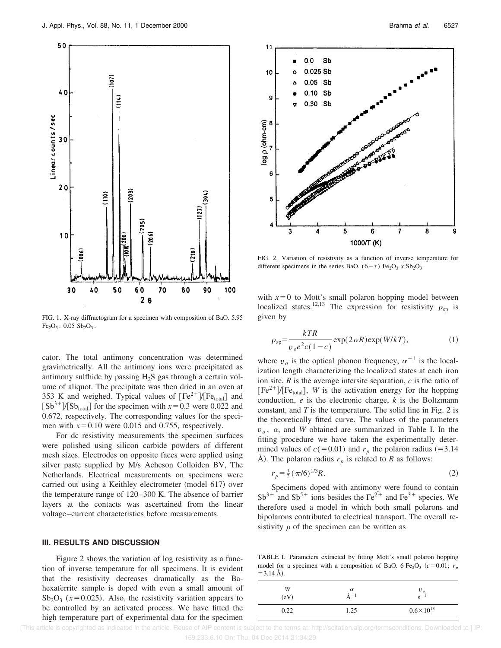

FIG. 1. X-ray diffractogram for a specimen with composition of BaO. 5.95  $Fe<sub>2</sub>O<sub>3</sub>$ . 0.05  $Sb<sub>2</sub>O<sub>3</sub>$ .

cator. The total antimony concentration was determined gravimetrically. All the antimony ions were precipitated as antimony sulfhide by passing  $H_2S$  gas through a certain volume of aliquot. The precipitate was then dried in an oven at 353 K and weighed. Typical values of  $[Fe^{2+}]/[Fe_{\text{total}}]$  and  $[Sb<sup>3+</sup>]/[Sb<sub>total</sub>]$  for the specimen with  $x=0.3$  were 0.022 and 0.672, respectively. The corresponding values for the specimen with  $x=0.10$  were 0.015 and 0.755, respectively.

For dc resistivity measurements the specimen surfaces were polished using silicon carbide powders of different mesh sizes. Electrodes on opposite faces were applied using silver paste supplied by M/s Acheson Colloiden BV, The Netherlands. Electrical measurements on specimens were carried out using a Keithley electrometer (model 617) over the temperature range of 120–300 K. The absence of barrier layers at the contacts was ascertained from the linear voltage–current characteristics before measurements.

### **III. RESULTS AND DISCUSSION**

Figure 2 shows the variation of log resistivity as a function of inverse temperature for all specimens. It is evident that the resistivity decreases dramatically as the Bahexaferrite sample is doped with even a small amount of  $Sb<sub>2</sub>O<sub>3</sub>$  ( $x=0.025$ ). Also, the resistivity variation appears to be controlled by an activated process. We have fitted the high temperature part of experimental data for the specimen



FIG. 2. Variation of resistivity as a function of inverse temperature for different specimens in the series BaO.  $(6-x)$  Fe<sub>2</sub>O<sub>3</sub> *x* Sb<sub>2</sub>O<sub>3</sub>.

with  $x=0$  to Mott's small polaron hopping model between localized states.<sup>12,13</sup> The expression for resistivity  $\rho_{sp}$  is given by

$$
\rho_{sp} = \frac{kTR}{v_oe^2c(1-c)} \exp(2\alpha R) \exp(W/kT),\tag{1}
$$

where  $v_o$  is the optical phonon frequency,  $\alpha^{-1}$  is the localization length characterizing the localized states at each iron ion site, *R* is the average intersite separation, *c* is the ratio of  $[Fe<sup>2+</sup>] [Fe<sub>total</sub>], W$  is the activation energy for the hopping conduction, *e* is the electronic charge, *k* is the Boltzmann constant, and *T* is the temperature. The solid line in Fig. 2 is the theoretically fitted curve. The values of the parameters  $v<sub>o</sub>$ ,  $\alpha$ , and *W* obtained are summarized in Table I. In the fitting procedure we have taken the experimentally determined values of  $c(=0.01)$  and  $r_p$  the polaron radius (=3.14) Å). The polaron radius  $r_p$  is related to R as follows:

$$
r_p = \frac{1}{2} \left( \frac{\pi}{6} \right)^{1/3} R. \tag{2}
$$

Specimens doped with antimony were found to contain  $Sb^{3+}$  and  $Sb^{5+}$  ions besides the Fe<sup>2+</sup> and Fe<sup>3+</sup> species. We therefore used a model in which both small polarons and bipolarons contributed to electrical transport. The overall resistivity  $\rho$  of the specimen can be written as

TABLE I. Parameters extracted by fitting Mott's small polaron hopping model for a specimen with a composition of BaO. 6 Fe<sub>2</sub>O<sub>3</sub> ( $c = 0.01$ ;  $r_p$ )  $=$  3.14 Å).

| W<br>(eV) | $\alpha$<br>$-1$ | $v_{\alpha}$<br>$-$<br>S |
|-----------|------------------|--------------------------|
| 0.22      | 1.25             | $0.6 \times 10^{13}$     |